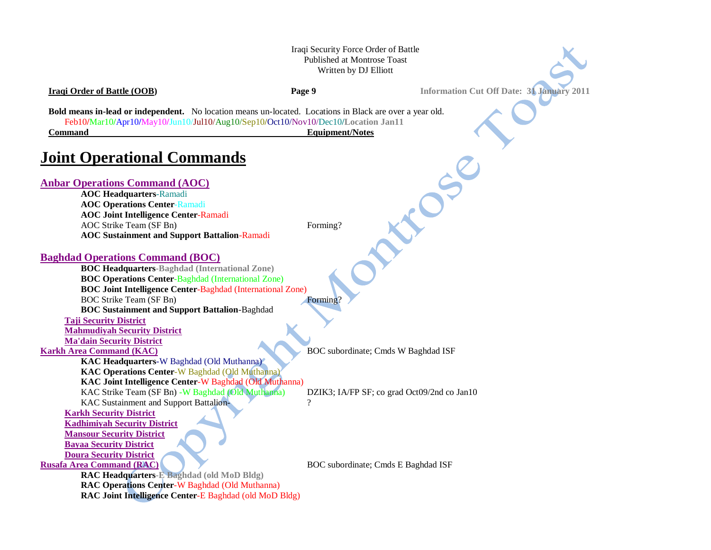### Iraqi Security Force Order of Battle Published at Montrose Toast Written by DJ Elliott

**Iraqi Order of Battle (OOB) Page 9 Information Cut Off Date: 31 January 2011**

**Bold means in-lead or independent.** No location means un-located. Locations in Black are over a year old. Feb10**/**Mar10**/**Apr10**/**May10**/**Jun10/Jul10/Aug10/Sep10**/**Oct10/Nov10/Dec10**/Location Jan11 Command Equipment/Notes**

# **Joint Operational Commands**

| <b>Anbar Operations Command (AOC)</b>                             |                                             |
|-------------------------------------------------------------------|---------------------------------------------|
| <b>AOC Headquarters-Ramadi</b>                                    |                                             |
| <b>AOC Operations Center-Ramadi</b>                               |                                             |
| <b>AOC Joint Intelligence Center-Ramadi</b>                       |                                             |
| AOC Strike Team (SF Bn)                                           | Forming?                                    |
| <b>AOC Sustainment and Support Battalion-Ramadi</b>               |                                             |
|                                                                   |                                             |
| <b>Baghdad Operations Command (BOC)</b>                           |                                             |
| <b>BOC Headquarters-Baghdad (International Zone)</b>              |                                             |
| <b>BOC Operations Center-Baghdad (International Zone)</b>         |                                             |
| <b>BOC Joint Intelligence Center-Baghdad (International Zone)</b> |                                             |
| <b>BOC Strike Team (SF Bn)</b>                                    | Forming?                                    |
| <b>BOC Sustainment and Support Battalion-Baghdad</b>              |                                             |
| <b>Taji Security District</b>                                     |                                             |
| <b>Mahmudiyah Security District</b>                               |                                             |
| <b>Ma'dain Security District</b>                                  |                                             |
| <b>Karkh Area Command (KAC)</b>                                   | BOC subordinate; Cmds W Baghdad ISF         |
| <b>KAC Headquarters-W Baghdad (Old Muthanna)</b>                  |                                             |
| <b>KAC Operations Center-W Baghdad (Old Muthanna)</b>             |                                             |
| KAC Joint Intelligence Center-W Baghdad (Old Muthanna)            |                                             |
| KAC Strike Team (SF Bn) - W Baghdad (Old Muthanna)                | DZIK3; IA/FP SF; co grad Oct09/2nd co Jan10 |
| KAC Sustainment and Support Battalion-                            | 9                                           |
| <b>Karkh Security District</b>                                    |                                             |
| <b>Kadhimiyah Security District</b>                               |                                             |
| <b>Mansour Security District</b>                                  |                                             |
| <b>Bayaa Security District</b>                                    |                                             |
| <b>Doura Security District</b>                                    |                                             |
| <b>Rusafa Area Command (RAC)</b>                                  | BOC subordinate; Cmds E Baghdad ISF         |
| RAC Headquarters-E Baghdad (old MoD Bldg)                         |                                             |
| RAC Operations Center-W Baghdad (Old Muthanna)                    |                                             |
| RAC Joint Intelligence Center-E Baghdad (old MoD Bldg)            |                                             |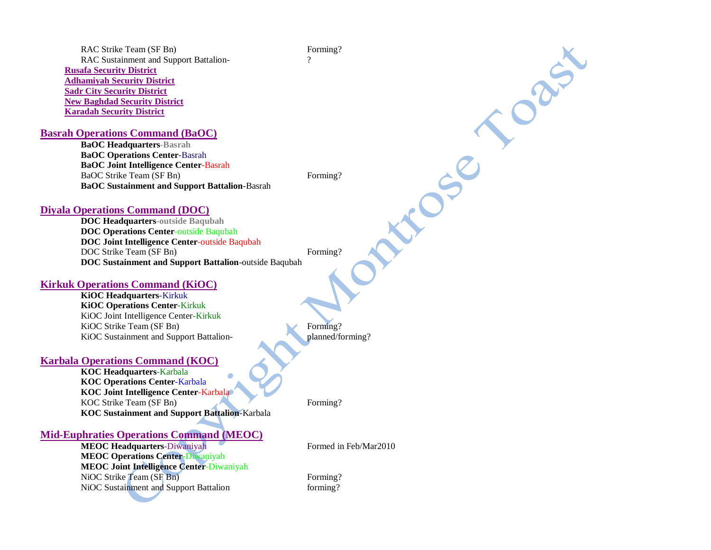RAC Strike Team (SF Bn) Forming? RAC Sustainment and Support Battalion-**Rusafa Security District Adhamiyah Security District Sadr City Security District New Baghdad Security District Karadah Security District**

## **Basrah Operations Command (BaOC)**

**BaOC Headquarters-Basrah BaOC Operations Center**-Basrah **BaOC Joint Intelligence Center**-Basrah BaOC Strike Team (SF Bn) Forming? **BaOC Sustainment and Support Battalion**-Basrah

J C SC

ORIT

#### **Diyala Operations Command (DOC)**

**DOC Headquarters-outside Baqubah DOC Operations Center**-outside Baqubah **DOC Joint Intelligence Center**-outside Baqubah DOC Strike Team (SF Bn) Forming? **DOC Sustainment and Support Battalion**-outside Baqubah

#### **Kirkuk Operations Command (KiOC)**

**KiOC Headquarters**-Kirkuk **KiOC Operations Center**-Kirkuk KiOC Joint Intelligence Center-Kirkuk KiOC Strike Team (SF Bn) Forming? KiOC Sustainment and Support Battalion- planned/forming?

#### **Karbala Operations Command (KOC)**

**KOC Headquarters**-Karbala **KOC Operations Center**-Karbala **KOC Joint Intelligence Center**-Karbala KOC Strike Team (SF Bn) Forming? **KOC Sustainment and Support Battalion**-Karbala

#### **Mid-Euphraties Operations Command (MEOC)**

**MEOC Headquarters-Diwaniyah Formed in Feb/Mar2010 MEOC Operations Center-**Diwaniyah **MEOC Joint Intelligence Center**-Diwaniyah NiOC Strike Team (SF Bn) Forming? NiOC Sustainment and Support Battalion forming?